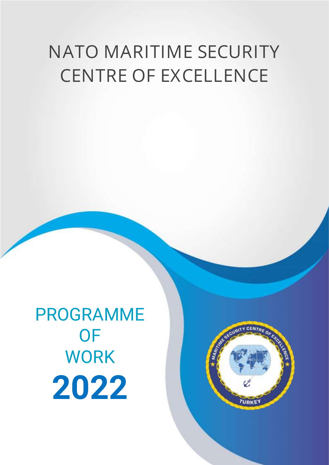## **NATO MARITIME SECURITY CENTRE OF EXCELLENCE**

PROGRAMME OF WORK **2022**

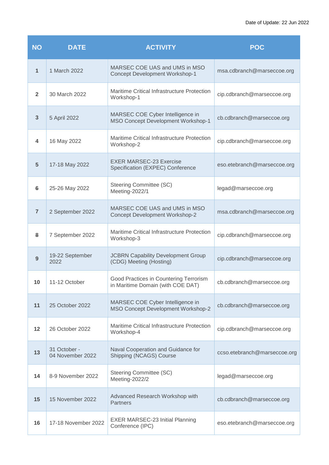| <b>NO</b>      | <b>DATE</b>                      | <b>ACTIVITY</b>                                                             | <b>POC</b>                   |
|----------------|----------------------------------|-----------------------------------------------------------------------------|------------------------------|
| $\mathbf{1}$   | 1 March 2022                     | MARSEC COE UAS and UMS in MSO<br><b>Concept Development Workshop-1</b>      | msa.cdbranch@marseccoe.org   |
| $\overline{2}$ | 30 March 2022                    | Maritime Critical Infrastructure Protection<br>Workshop-1                   | cip.cdbranch@marseccoe.org   |
| 3              | 5 April 2022                     | MARSEC COE Cyber Intelligence in<br>MSO Concept Development Workshop-1      | cb.cdbranch@marseccoe.org    |
| 4              | 16 May 2022                      | Maritime Critical Infrastructure Protection<br>Workshop-2                   | cip.cdbranch@marseccoe.org   |
| 5              | 17-18 May 2022                   | <b>EXER MARSEC-23 Exercise</b><br>Specification (EXPEC) Conference          | eso.etebranch@marseccoe.org  |
| 6              | 25-26 May 2022                   | <b>Steering Committee (SC)</b><br>Meeting-2022/1                            | legad@marseccoe.org          |
| $\overline{7}$ | 2 September 2022                 | MARSEC COE UAS and UMS in MSO<br><b>Concept Development Workshop-2</b>      | msa.cdbranch@marseccoe.org   |
| 8              | 7 September 2022                 | Maritime Critical Infrastructure Protection<br>Workshop-3                   | cip.cdbranch@marseccoe.org   |
| 9              | 19-22 September<br>2022          | <b>JCBRN Capability Development Group</b><br>(CDG) Meeting (Hosting)        | cip.cdbranch@marseccoe.org   |
| 10             | 11-12 October                    | Good Practices in Countering Terrorism<br>in Maritime Domain (with COE DAT) | cb.cdbranch@marseccoe.org    |
| 11             | 25 October 2022                  | MARSEC COE Cyber Intelligence in<br>MSO Concept Development Workshop-2      | cb.cdbranch@marseccoe.org    |
| 12             | 26 October 2022                  | Maritime Critical Infrastructure Protection<br>Workshop-4                   | cip.cdbranch@marseccoe.org   |
| 13             | 31 October -<br>04 November 2022 | Naval Cooperation and Guidance for<br>Shipping (NCAGS) Course               | ccso.etebranch@marseccoe.org |
| 14             | 8-9 November 2022                | Steering Committee (SC)<br>Meeting-2022/2                                   | legad@marseccoe.org          |
| 15             | 15 November 2022                 | Advanced Research Workshop with<br><b>Partners</b>                          | cb.cdbranch@marseccoe.org    |
| 16             | 17-18 November 2022              | <b>EXER MARSEC-23 Initial Planning</b><br>Conference (IPC)                  | eso.etebranch@marseccoe.org  |